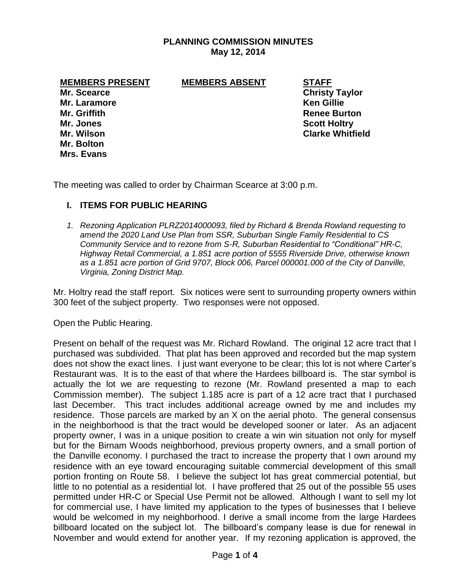# **PLANNING COMMISSION MINUTES May 12, 2014**

**MEMBERS PRESENT MEMBERS ABSENT STAFF**

**Mr. Laramore Ken Gillie Mr. Griffith Renee Burton Mr. Jones Scott Holtry Mr. Bolton Mrs. Evans**

**Mr. Scearce Christy Taylor Mr. Wilson Clarke Whitfield**

The meeting was called to order by Chairman Scearce at 3:00 p.m.

# **I. ITEMS FOR PUBLIC HEARING**

*1. Rezoning Application PLRZ2014000093, filed by Richard & Brenda Rowland requesting to amend the 2020 Land Use Plan from SSR, Suburban Single Family Residential to CS Community Service and to rezone from S-R, Suburban Residential to "Conditional" HR-C, Highway Retail Commercial, a 1.851 acre portion of 5555 Riverside Drive, otherwise known as a 1.851 acre portion of Grid 9707, Block 006, Parcel 000001.000 of the City of Danville, Virginia, Zoning District Map.* 

Mr. Holtry read the staff report. Six notices were sent to surrounding property owners within 300 feet of the subject property. Two responses were not opposed.

Open the Public Hearing.

Present on behalf of the request was Mr. Richard Rowland. The original 12 acre tract that I purchased was subdivided. That plat has been approved and recorded but the map system does not show the exact lines. I just want everyone to be clear; this lot is not where Carter's Restaurant was. It is to the east of that where the Hardees billboard is. The star symbol is actually the lot we are requesting to rezone (Mr. Rowland presented a map to each Commission member). The subject 1.185 acre is part of a 12 acre tract that I purchased last December. This tract includes additional acreage owned by me and includes my residence. Those parcels are marked by an X on the aerial photo. The general consensus in the neighborhood is that the tract would be developed sooner or later. As an adjacent property owner, I was in a unique position to create a win win situation not only for myself but for the Birnam Woods neighborhood, previous property owners, and a small portion of the Danville economy. I purchased the tract to increase the property that I own around my residence with an eye toward encouraging suitable commercial development of this small portion fronting on Route 58. I believe the subject lot has great commercial potential, but little to no potential as a residential lot. I have proffered that 25 out of the possible 55 uses permitted under HR-C or Special Use Permit not be allowed. Although I want to sell my lot for commercial use, I have limited my application to the types of businesses that I believe would be welcomed in my neighborhood. I derive a small income from the large Hardees billboard located on the subject lot. The billboard's company lease is due for renewal in November and would extend for another year. If my rezoning application is approved, the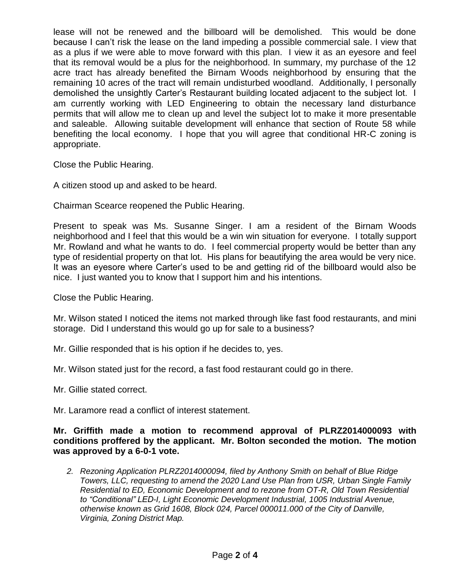lease will not be renewed and the billboard will be demolished. This would be done because I can't risk the lease on the land impeding a possible commercial sale. I view that as a plus if we were able to move forward with this plan. I view it as an eyesore and feel that its removal would be a plus for the neighborhood. In summary, my purchase of the 12 acre tract has already benefited the Birnam Woods neighborhood by ensuring that the remaining 10 acres of the tract will remain undisturbed woodland. Additionally, I personally demolished the unsightly Carter's Restaurant building located adjacent to the subject lot. I am currently working with LED Engineering to obtain the necessary land disturbance permits that will allow me to clean up and level the subject lot to make it more presentable and saleable. Allowing suitable development will enhance that section of Route 58 while benefiting the local economy. I hope that you will agree that conditional HR-C zoning is appropriate.

Close the Public Hearing.

A citizen stood up and asked to be heard.

Chairman Scearce reopened the Public Hearing.

Present to speak was Ms. Susanne Singer. I am a resident of the Birnam Woods neighborhood and I feel that this would be a win win situation for everyone. I totally support Mr. Rowland and what he wants to do. I feel commercial property would be better than any type of residential property on that lot. His plans for beautifying the area would be very nice. It was an eyesore where Carter's used to be and getting rid of the billboard would also be nice. I just wanted you to know that I support him and his intentions.

Close the Public Hearing.

Mr. Wilson stated I noticed the items not marked through like fast food restaurants, and mini storage. Did I understand this would go up for sale to a business?

Mr. Gillie responded that is his option if he decides to, yes.

Mr. Wilson stated just for the record, a fast food restaurant could go in there.

Mr. Gillie stated correct.

Mr. Laramore read a conflict of interest statement.

**Mr. Griffith made a motion to recommend approval of PLRZ2014000093 with conditions proffered by the applicant. Mr. Bolton seconded the motion. The motion was approved by a 6-0-1 vote.** 

*2. Rezoning Application PLRZ2014000094, filed by Anthony Smith on behalf of Blue Ridge Towers, LLC, requesting to amend the 2020 Land Use Plan from USR, Urban Single Family Residential to ED, Economic Development and to rezone from OT-R, Old Town Residential to "Conditional" LED-I, Light Economic Development Industrial, 1005 Industrial Avenue, otherwise known as Grid 1608, Block 024, Parcel 000011.000 of the City of Danville, Virginia, Zoning District Map.*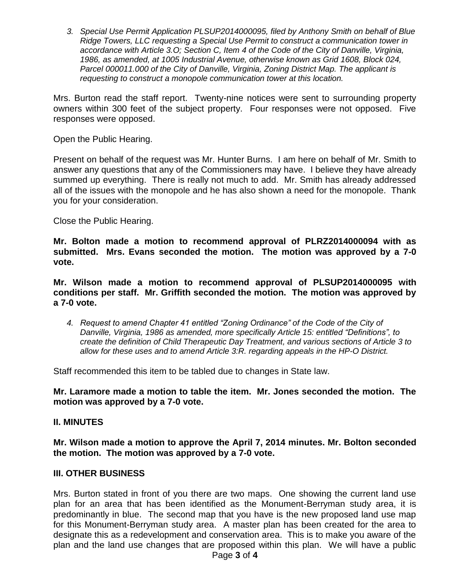*3. Special Use Permit Application PLSUP2014000095, filed by Anthony Smith on behalf of Blue Ridge Towers, LLC requesting a Special Use Permit to construct a communication tower in accordance with Article 3.O; Section C, Item 4 of the Code of the City of Danville, Virginia, 1986, as amended, at 1005 Industrial Avenue, otherwise known as Grid 1608, Block 024, Parcel 000011.000 of the City of Danville, Virginia, Zoning District Map. The applicant is requesting to construct a monopole communication tower at this location.* 

Mrs. Burton read the staff report. Twenty-nine notices were sent to surrounding property owners within 300 feet of the subject property. Four responses were not opposed. Five responses were opposed.

Open the Public Hearing.

Present on behalf of the request was Mr. Hunter Burns. I am here on behalf of Mr. Smith to answer any questions that any of the Commissioners may have. I believe they have already summed up everything. There is really not much to add. Mr. Smith has already addressed all of the issues with the monopole and he has also shown a need for the monopole. Thank you for your consideration.

Close the Public Hearing.

**Mr. Bolton made a motion to recommend approval of PLRZ2014000094 with as submitted. Mrs. Evans seconded the motion. The motion was approved by a 7-0 vote.** 

**Mr. Wilson made a motion to recommend approval of PLSUP2014000095 with conditions per staff. Mr. Griffith seconded the motion. The motion was approved by a 7-0 vote.**

*4. Request to amend Chapter 41 entitled "Zoning Ordinance" of the Code of the City of Danville, Virginia, 1986 as amended, more specifically Article 15: entitled "Definitions", to create the definition of Child Therapeutic Day Treatment, and various sections of Article 3 to allow for these uses and to amend Article 3:R. regarding appeals in the HP-O District.*

Staff recommended this item to be tabled due to changes in State law.

**Mr. Laramore made a motion to table the item. Mr. Jones seconded the motion. The motion was approved by a 7-0 vote.**

## **II. MINUTES**

**Mr. Wilson made a motion to approve the April 7, 2014 minutes. Mr. Bolton seconded the motion. The motion was approved by a 7-0 vote.**

## **III. OTHER BUSINESS**

Mrs. Burton stated in front of you there are two maps. One showing the current land use plan for an area that has been identified as the Monument-Berryman study area, it is predominantly in blue. The second map that you have is the new proposed land use map for this Monument-Berryman study area. A master plan has been created for the area to designate this as a redevelopment and conservation area. This is to make you aware of the plan and the land use changes that are proposed within this plan. We will have a public